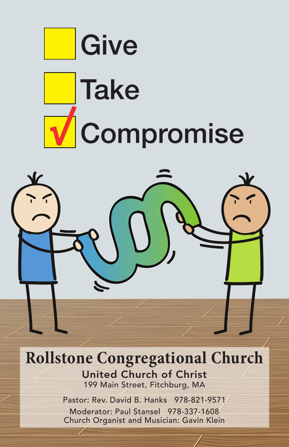

**Rollstone Congregational Church** United Church of Christ

199 Main Street, Fitchburg, MA

Pastor: Rev. David B. Hanks 978-821-9571 Moderator: Paul Stansel 978-337-1608 Church Organist and Musician: Gavin Klein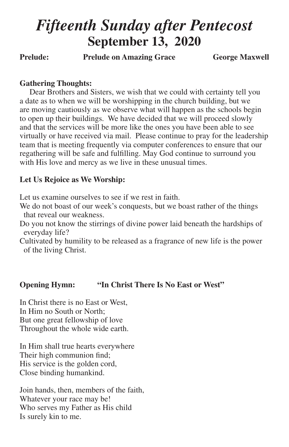# *Fifteenth Sunday after Pentecost* **September 13, 2020**

Prelude: Prelude on Amazing Grace **George Maxwell** 

# **Gathering Thoughts:**

Dear Brothers and Sisters, we wish that we could with certainty tell you a date as to when we will be worshipping in the church building, but we are moving cautiously as we observe what will happen as the schools begin to open up their buildings. We have decided that we will proceed slowly and that the services will be more like the ones you have been able to see virtually or have received via mail. Please continue to pray for the leadership team that is meeting frequently via computer conferences to ensure that our regathering will be safe and fulfilling. May God continue to surround you with His love and mercy as we live in these unusual times.

# **Let Us Rejoice as We Worship:**

Let us examine ourselves to see if we rest in faith.

We do not boast of our week's conquests, but we boast rather of the things that reveal our weakness.

Do you not know the stirrings of divine power laid beneath the hardships of everyday life?

Cultivated by humility to be released as a fragrance of new life is the power of the living Christ.

# **Opening Hymn: "In Christ There Is No East or West"**

In Christ there is no East or West, In Him no South or North; But one great fellowship of love Throughout the whole wide earth.

In Him shall true hearts everywhere Their high communion find; His service is the golden cord, Close binding humankind.

Join hands, then, members of the faith, Whatever your race may be! Who serves my Father as His child Is surely kin to me.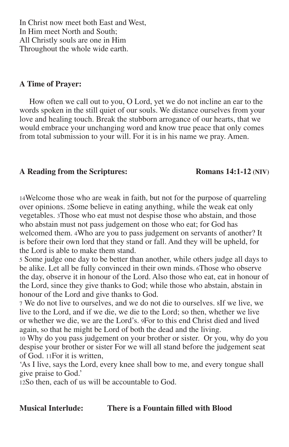In Christ now meet both East and West, In Him meet North and South; All Christly souls are one in Him Throughout the whole wide earth.

## **A Time of Prayer:**

How often we call out to you, O Lord, yet we do not incline an ear to the words spoken in the still quiet of our souls. We distance ourselves from your love and healing touch. Break the stubborn arrogance of our hearts, that we would embrace your unchanging word and know true peace that only comes from total submission to your will. For it is in his name we pray. Amen.

# **A Reading from the Scriptures: Romans 14:1-12 (NIV)**

14Welcome those who are weak in faith, but not for the purpose of quarreling over opinions. 2Some believe in eating anything, while the weak eat only vegetables. 3Those who eat must not despise those who abstain, and those who abstain must not pass judgement on those who eat; for God has welcomed them. 4Who are you to pass judgement on servants of another? It is before their own lord that they stand or fall. And they will be upheld, for the Lord is able to make them stand.

5 Some judge one day to be better than another, while others judge all days to be alike. Let all be fully convinced in their own minds. 6Those who observe the day, observe it in honour of the Lord. Also those who eat, eat in honour of the Lord, since they give thanks to God; while those who abstain, abstain in honour of the Lord and give thanks to God.

7 We do not live to ourselves, and we do not die to ourselves. 8If we live, we live to the Lord, and if we die, we die to the Lord; so then, whether we live or whether we die, we are the Lord's. 9For to this end Christ died and lived again, so that he might be Lord of both the dead and the living.

10 Why do you pass judgement on your brother or sister. Or you, why do you despise your brother or sister For we will all stand before the judgement seat of God. 11For it is written,

'As I live, says the Lord, every knee shall bow to me, and every tongue shall give praise to God.'

12So then, each of us will be accountable to God.

**Musical Interlude: There is a Fountain filled with Blood**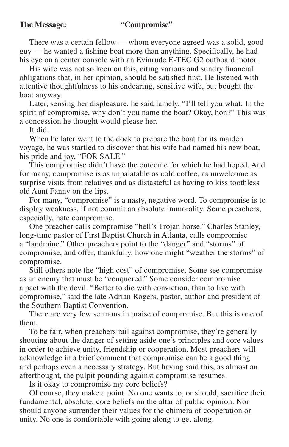There was a certain fellow — whom everyone agreed was a solid, good guy — he wanted a fishing boat more than anything. Specifically, he had his eye on a center console with an Evinrude E-TEC G2 outboard motor.

His wife was not so keen on this, citing various and sundry financial obligations that, in her opinion, should be satisfied first. He listened with attentive thoughtfulness to his endearing, sensitive wife, but bought the boat anyway.

Later, sensing her displeasure, he said lamely, "I'll tell you what: In the spirit of compromise, why don't you name the boat? Okay, hon?" This was a concession he thought would please her.

It did.

When he later went to the dock to prepare the boat for its maiden voyage, he was startled to discover that his wife had named his new boat, his pride and joy, "FOR SALE."

This compromise didn't have the outcome for which he had hoped. And for many, compromise is as unpalatable as cold coffee, as unwelcome as surprise visits from relatives and as distasteful as having to kiss toothless old Aunt Fanny on the lips.

For many, "compromise" is a nasty, negative word. To compromise is to display weakness, if not commit an absolute immorality. Some preachers, especially, hate compromise.

One preacher calls compromise "hell's Trojan horse." Charles Stanley, long-time pastor of First Baptist Church in Atlanta, calls compromise a "landmine." Other preachers point to the "danger" and "storms" of compromise, and offer, thankfully, how one might "weather the storms" of compromise.

Still others note the "high cost" of compromise. Some see compromise as an enemy that must be "conquered." Some consider compromise a pact with the devil. "Better to die with conviction, than to live with compromise," said the late Adrian Rogers, pastor, author and president of the Southern Baptist Convention.

There are very few sermons in praise of compromise. But this is one of them.

To be fair, when preachers rail against compromise, they're generally shouting about the danger of setting aside one's principles and core values in order to achieve unity, friendship or cooperation. Most preachers will acknowledge in a brief comment that compromise can be a good thing and perhaps even a necessary strategy. But having said this, as almost an afterthought, the pulpit pounding against compromise resumes.

Is it okay to compromise my core beliefs?

Of course, they make a point. No one wants to, or should, sacrifice their fundamental, absolute, core beliefs on the altar of public opinion. Nor should anyone surrender their values for the chimera of cooperation or unity. No one is comfortable with going along to get along.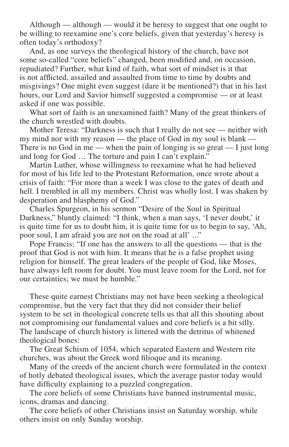Although — although — would it be heresy to suggest that one ought to be willing to reexamine one's core beliefs, given that yesterday's heresy is often today's orthodoxy?

And, as one surveys the theological history of the church, have not some so-called "core beliefs" changed, been modified and, on occasion, repudiated? Further, what kind of faith, what sort of mindset is it that is not afflicted, assailed and assaulted from time to time by doubts and misgivings? One might even suggest (dare it be mentioned?) that in his last hours, our Lord and Savior himself suggested a compromise — or at least asked if one was possible.

What sort of faith is an unexamined faith? Many of the great thinkers of the church wrestled with doubts.

Mother Teresa: "Darkness is such that I really do not see — neither with my mind nor with my reason — the place of God in my soul is blank — There is no God in me — when the pain of longing is so great — I just long and long for God … The torture and pain I can't explain."

Martin Luther, whose willingness to reexamine what he had believed for most of his life led to the Protestant Reformation, once wrote about a crisis of faith: "For more than a week I was close to the gates of death and hell. I trembled in all my members. Christ was wholly lost. I was shaken by desperation and blasphemy of God."

Charles Spurgeon, in his sermon "Desire of the Soul in Spiritual Darkness," bluntly claimed: "I think, when a man says, 'I never doubt,' it is quite time for us to doubt him, it is quite time for us to begin to say, 'Ah, poor soul, I am afraid you are not on the road at all' ..."

Pope Francis: "If one has the answers to all the questions — that is the proof that God is not with him. It means that he is a false prophet using religion for himself. The great leaders of the people of God, like Moses, have always left room for doubt. You must leave room for the Lord, not for our certainties; we must be humble."

These quite earnest Christians may not have been seeking a theological compromise, but the very fact that they did not consider their belief system to be set in theological concrete tells us that all this shouting about not compromising our fundamental values and core beliefs is a bit silly. The landscape of church history is littered with the detritus of whitened theological bones:

The Great Schism of 1054, which separated Eastern and Western rite churches, was about the Greek word filioque and its meaning.

Many of the creeds of the ancient church were formulated in the context of hotly debated theological issues, which the average pastor today would have difficulty explaining to a puzzled congregation.

The core beliefs of some Christians have banned instrumental music, icons, dramas and dancing.

The core beliefs of other Christians insist on Saturday worship, while others insist on only Sunday worship.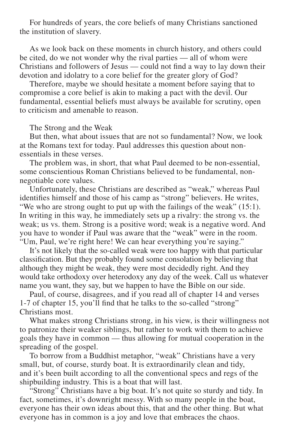For hundreds of years, the core beliefs of many Christians sanctioned the institution of slavery.

As we look back on these moments in church history, and others could be cited, do we not wonder why the rival parties — all of whom were Christians and followers of Jesus — could not find a way to lay down their devotion and idolatry to a core belief for the greater glory of God?

Therefore, maybe we should hesitate a moment before saying that to compromise a core belief is akin to making a pact with the devil. Our fundamental, essential beliefs must always be available for scrutiny, open to criticism and amenable to reason.

#### The Strong and the Weak

But then, what about issues that are not so fundamental? Now, we look at the Romans text for today. Paul addresses this question about nonessentials in these verses.

The problem was, in short, that what Paul deemed to be non-essential, some conscientious Roman Christians believed to be fundamental, nonnegotiable core values.

Unfortunately, these Christians are described as "weak," whereas Paul identifies himself and those of his camp as "strong" believers. He writes, "We who are strong ought to put up with the failings of the weak" (15:1). In writing in this way, he immediately sets up a rivalry: the strong vs. the weak; us vs. them. Strong is a positive word; weak is a negative word. And you have to wonder if Paul was aware that the "weak" were in the room. "Um, Paul, we're right here! We can hear everything you're saying."

It's not likely that the so-called weak were too happy with that particular classification. But they probably found some consolation by believing that although they might be weak, they were most decidedly right. And they would take orthodoxy over heterodoxy any day of the week. Call us whatever name you want, they say, but we happen to have the Bible on our side.

Paul, of course, disagrees, and if you read all of chapter 14 and verses 1-7 of chapter 15, you'll find that he talks to the so-called "strong" Christians most.

What makes strong Christians strong, in his view, is their willingness not to patronize their weaker siblings, but rather to work with them to achieve goals they have in common — thus allowing for mutual cooperation in the spreading of the gospel.

To borrow from a Buddhist metaphor, "weak" Christians have a very small, but, of course, sturdy boat. It is extraordinarily clean and tidy, and it's been built according to all the conventional specs and regs of the shipbuilding industry. This is a boat that will last.

"Strong" Christians have a big boat. It's not quite so sturdy and tidy. In fact, sometimes, it's downright messy. With so many people in the boat, everyone has their own ideas about this, that and the other thing. But what everyone has in common is a joy and love that embraces the chaos.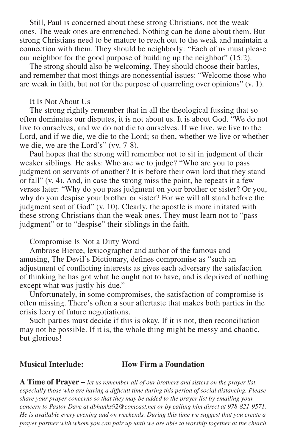Still, Paul is concerned about these strong Christians, not the weak ones. The weak ones are entrenched. Nothing can be done about them. But strong Christians need to be mature to reach out to the weak and maintain a connection with them. They should be neighborly: "Each of us must please our neighbor for the good purpose of building up the neighbor" (15:2).

The strong should also be welcoming. They should choose their battles, and remember that most things are nonessential issues: "Welcome those who are weak in faith, but not for the purpose of quarreling over opinions" (v. 1).

### It Is Not About Us

The strong rightly remember that in all the theological fussing that so often dominates our disputes, it is not about us. It is about God. "We do not live to ourselves, and we do not die to ourselves. If we live, we live to the Lord, and if we die, we die to the Lord; so then, whether we live or whether we die, we are the Lord's" (vv. 7-8).

Paul hopes that the strong will remember not to sit in judgment of their weaker siblings. He asks: Who are we to judge? "Who are you to pass judgment on servants of another? It is before their own lord that they stand or fall" (v. 4). And, in case the strong miss the point, he repeats it a few verses later: "Why do you pass judgment on your brother or sister? Or you, why do you despise your brother or sister? For we will all stand before the judgment seat of God" (v. 10). Clearly, the apostle is more irritated with these strong Christians than the weak ones. They must learn not to "pass judgment" or to "despise" their siblings in the faith.

#### Compromise Is Not a Dirty Word

Ambrose Bierce, lexicographer and author of the famous and amusing, The Devil's Dictionary, defines compromise as "such an adjustment of conflicting interests as gives each adversary the satisfaction of thinking he has got what he ought not to have, and is deprived of nothing except what was justly his due."

Unfortunately, in some compromises, the satisfaction of compromise is often missing. There's often a sour aftertaste that makes both parties in the crisis leery of future negotiations.

Such parties must decide if this is okay. If it is not, then reconciliation may not be possible. If it is, the whole thing might be messy and chaotic, but glorious!

#### **Musical Interlude: How Firm a Foundation**

**A Time of Prayer –** *let us remember all of our brothers and sisters on the prayer list, especially those who are having a difficult time during this period of social distancing. Please share your prayer concerns so that they may be added to the prayer list by emailing your concern to Pastor Dave at dbhanks92@comcast.net or by calling him direct at 978-821-9571. He is available every evening and on weekends. During this time we suggest that you create a prayer partner with whom you can pair up until we are able to worship together at the church.*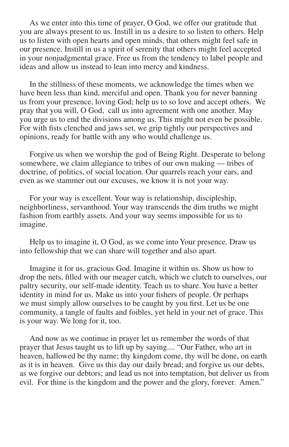As we enter into this time of prayer, O God, we offer our gratitude that you are always present to us. Instill in us a desire to so listen to others. Help us to listen with open hearts and open minds, that others might feel safe in our presence. Instill in us a spirit of serenity that others might feel accepted in your nonjudgmental grace. Free us from the tendency to label people and ideas and allow us instead to lean into mercy and kindness.

In the stillness of these moments, we acknowledge the times when we have been less than kind, merciful and open. Thank you for never banning us from your presence, loving God; help us to so love and accept others. We pray that you will, O God, call us into agreement with one another. May you urge us to end the divisions among us. This might not even be possible. For with fists clenched and jaws set, we grip tightly our perspectives and opinions, ready for battle with any who would challenge us.

Forgive us when we worship the god of Being Right. Desperate to belong somewhere, we claim allegiance to tribes of our own making — tribes of doctrine, of politics, of social location. Our quarrels reach your ears, and even as we stammer out our excuses, we know it is not your way.

For your way is excellent. Your way is relationship, discipleship, neighborliness, servanthood. Your way transcends the dim truths we might fashion from earthly assets. And your way seems impossible for us to imagine.

Help us to imagine it, O God, as we come into Your presence. Draw us into fellowship that we can share will together and also apart.

Imagine it for us, gracious God. Imagine it within us. Show us how to drop the nets, filled with our meager catch, which we clutch to ourselves, our paltry security, our self-made identity. Teach us to share. You have a better identity in mind for us. Make us into your fishers of people. Or perhaps we must simply allow ourselves to be caught by you first. Let us be one community, a tangle of faults and foibles, yet held in your net of grace. This is your way. We long for it, too.

And now as we continue in prayer let us remember the words of that prayer that Jesus taught us to lift up by saying.... "Our Father, who art in heaven, hallowed be thy name; thy kingdom come, thy will be done, on earth as it is in heaven. Give us this day our daily bread; and forgive us our debts, as we forgive our debtors; and lead us not into temptation, but deliver us from evil. For thine is the kingdom and the power and the glory, forever. Amen."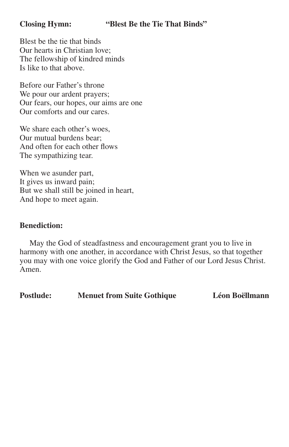# **Closing Hymn: "Blest Be the Tie That Binds"**

Blest be the tie that binds Our hearts in Christian love; The fellowship of kindred minds Is like to that above.

Before our Father's throne We pour our ardent prayers; Our fears, our hopes, our aims are one Our comforts and our cares.

We share each other's woes, Our mutual burdens bear; And often for each other flows The sympathizing tear.

When we asunder part, It gives us inward pain; But we shall still be joined in heart, And hope to meet again.

### **Benediction:**

May the God of steadfastness and encouragement grant you to live in harmony with one another, in accordance with Christ Jesus, so that together you may with one voice glorify the God and Father of our Lord Jesus Christ. Amen.

**Postlude: Menuet from Suite Gothique Léon Boëllmann**